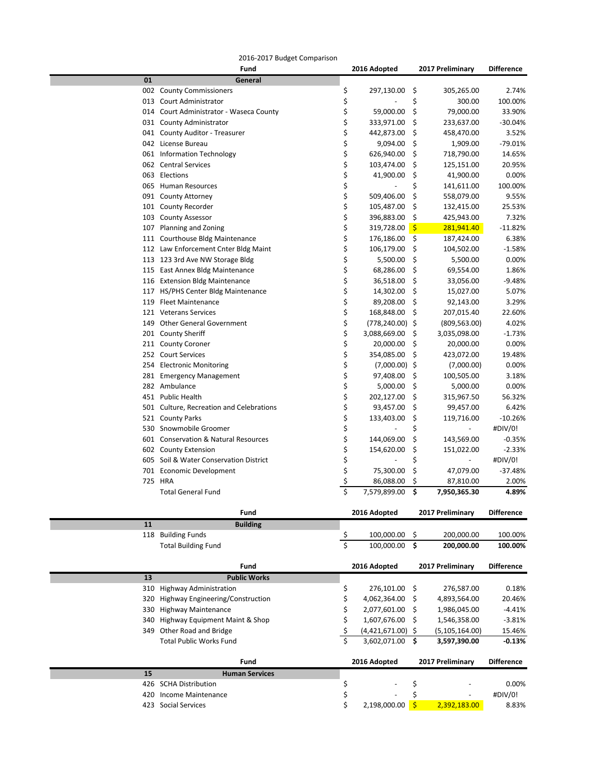| 2016-2017 Budget Comparison |  |
|-----------------------------|--|
|-----------------------------|--|

|    | 2010-2017 Duuget Compansom<br>Fund             |                         | 2016 Adopted       |                    | 2017 Preliminary | <b>Difference</b> |
|----|------------------------------------------------|-------------------------|--------------------|--------------------|------------------|-------------------|
| 01 | General                                        |                         |                    |                    |                  |                   |
|    | 002 County Commissioners                       | \$                      | 297,130.00         | -\$                | 305,265.00       | 2.74%             |
|    | 013 Court Administrator                        | \$                      |                    | \$                 | 300.00           | 100.00%           |
|    | 014 Court Administrator - Waseca County        | \$                      | 59,000.00          | \$                 | 79,000.00        | 33.90%            |
|    | 031 County Administrator                       | \$                      | 333,971.00         | \$                 | 233,637.00       | $-30.04%$         |
|    | 041 County Auditor - Treasurer                 | \$                      | 442,873.00         | \$                 | 458,470.00       | 3.52%             |
|    | 042 License Bureau                             | \$                      | 9,094.00           | \$                 | 1,909.00         | $-79.01%$         |
|    | 061 Information Technology                     | \$                      | 626,940.00         | \$                 | 718,790.00       | 14.65%            |
|    | 062 Central Services                           | \$                      | 103,474.00         | \$                 | 125,151.00       | 20.95%            |
|    | 063 Elections                                  | \$                      | 41,900.00          | \$                 | 41,900.00        | 0.00%             |
|    | 065 Human Resources                            | \$                      |                    | \$                 | 141,611.00       | 100.00%           |
|    | 091 County Attorney                            | \$                      | 509,406.00         | \$                 | 558,079.00       | 9.55%             |
|    | 101 County Recorder                            | \$                      | 105,487.00         | \$                 | 132,415.00       | 25.53%            |
|    | 103 County Assessor                            | \$                      | 396,883.00         | \$                 | 425,943.00       | 7.32%             |
|    | 107 Planning and Zoning                        | \$                      | 319,728.00         | -\$                | 281,941.40       | $-11.82%$         |
|    | 111 Courthouse Bldg Maintenance                | \$                      | 176,186.00         | \$                 | 187,424.00       | 6.38%             |
|    | 112 Law Enforcement Cnter Bldg Maint           | \$                      | 106,179.00         | \$                 | 104,502.00       | $-1.58%$          |
|    | 113 123 3rd Ave NW Storage Bldg                | \$                      | 5,500.00           | \$                 | 5,500.00         | 0.00%             |
|    | 115 East Annex Bldg Maintenance                | \$                      | 68,286.00          | \$                 | 69,554.00        | 1.86%             |
|    | 116 Extension Bldg Maintenance                 | \$                      | 36,518.00          | \$                 | 33,056.00        | $-9.48%$          |
|    | 117 HS/PHS Center Bldg Maintenance             | \$                      | 14,302.00          | \$                 | 15,027.00        | 5.07%             |
|    | 119 Fleet Maintenance                          | \$                      | 89,208.00          | -\$                | 92,143.00        | 3.29%             |
|    | 121 Veterans Services                          | \$                      | 168,848.00         | \$                 | 207,015.40       | 22.60%            |
|    | 149 Other General Government                   | \$                      | $(778, 240.00)$ \$ |                    | (809, 563.00)    | 4.02%             |
|    | 201 County Sheriff                             | \$                      | 3,088,669.00       | \$                 | 3,035,098.00     | $-1.73%$          |
|    | 211 County Coroner                             | \$                      | 20,000.00          | \$                 | 20,000.00        | 0.00%             |
|    | 252 Court Services                             | \$                      | 354,085.00         | - Ş                | 423,072.00       | 19.48%            |
|    | 254 Electronic Monitoring                      | \$                      | $(7,000.00)$ \$    |                    | (7,000.00)       | 0.00%             |
|    | 281 Emergency Management                       | \$                      | 97,408.00          | -\$                | 100,505.00       | 3.18%             |
|    | 282 Ambulance                                  | \$                      | 5,000.00           | \$                 | 5,000.00         | 0.00%             |
|    | 451 Public Health                              | \$                      | 202,127.00         | \$                 | 315,967.50       | 56.32%            |
|    | 501 Culture, Recreation and Celebrations       | \$                      | 93,457.00          | \$                 | 99,457.00        | 6.42%             |
|    | 521 County Parks                               | \$                      | 133,403.00         | \$                 | 119,716.00       | $-10.26%$         |
|    | 530 Snowmobile Groomer                         | \$                      |                    | \$                 |                  | #DIV/0!           |
|    | 601 Conservation & Natural Resources           | \$                      | 144,069.00         | \$                 | 143,569.00       | $-0.35%$          |
|    | 602 County Extension                           | \$                      | 154,620.00         | \$                 | 151,022.00       | $-2.33%$          |
|    | 605 Soil & Water Conservation District         | \$                      |                    | \$                 |                  | #DIV/0!           |
|    | 701 Economic Development                       | \$                      | 75,300.00          | \$                 | 47,079.00        | $-37.48%$         |
|    | 725 HRA                                        | \$                      | 86,088.00          | \$                 | 87,810.00        | 2.00%             |
|    | <b>Total General Fund</b>                      | \$                      | 7,579,899.00       | \$                 | 7,950,365.30     | 4.89%             |
|    | Fund                                           |                         | 2016 Adopted       |                    | 2017 Preliminary | <b>Difference</b> |
| 11 | <b>Building</b>                                |                         |                    |                    |                  |                   |
|    | 118 Building Funds                             | <u>ې</u>                | 100,000.00         | \$                 | 200,000.00       | 100.00%           |
|    | <b>Total Building Fund</b>                     | $\overline{\mathsf{S}}$ | 100,000.00         | $\mathsf{\hat{S}}$ | 200,000.00       | 100.00%           |
|    |                                                |                         |                    |                    |                  |                   |
|    | Fund                                           |                         | 2016 Adopted       |                    | 2017 Preliminary | <b>Difference</b> |
| 13 | <b>Public Works</b>                            |                         |                    |                    |                  |                   |
|    | 310 Highway Administration                     | \$                      | 276,101.00         | -\$                | 276,587.00       | 0.18%             |
|    | 320 Highway Engineering/Construction           | \$                      | 4,062,364.00       | \$                 | 4,893,564.00     | 20.46%            |
|    | 330 Highway Maintenance                        |                         | 2,077,601.00       | \$                 | 1,986,045.00     | $-4.41%$          |
|    | 340 Highway Equipment Maint & Shop             | \$                      | 1,607,676.00       | \$                 | 1,546,358.00     | $-3.81%$          |
|    | 349 Other Road and Bridge                      | \$                      | (4,421,671.00)     | \$                 | (5, 105, 164.00) | 15.46%            |
|    | <b>Total Public Works Fund</b>                 | Ś.                      | 3,602,071.00       | \$                 | 3,597,390.00     | $-0.13%$          |
|    |                                                |                         |                    |                    |                  |                   |
| 15 | Fund                                           |                         | 2016 Adopted       |                    | 2017 Preliminary | <b>Difference</b> |
|    | <b>Human Services</b><br>426 SCHA Distribution | \$                      |                    | \$                 |                  | 0.00%             |
|    | 420 Income Maintenance                         | \$                      |                    | \$                 |                  | #DIV/0!           |
|    |                                                |                         |                    |                    |                  |                   |

Social Services \$ 2,198,000.00 \$ 2,392,183.00 8.83%